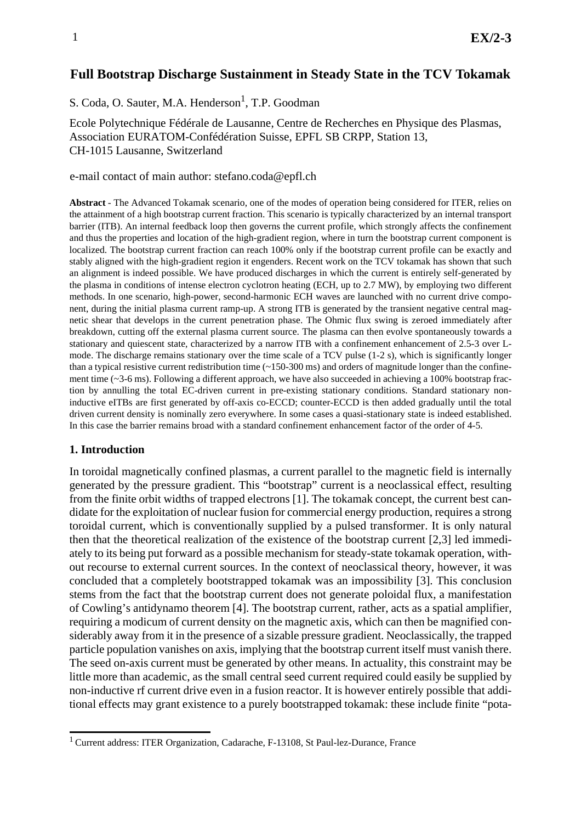# **Full Bootstrap Discharge Sustainment in Steady State in the TCV Tokamak**

S. Coda, O. Sauter, M.A. Henderson<sup>1</sup>, T.P. Goodman

Ecole Polytechnique Fédérale de Lausanne, Centre de Recherches en Physique des Plasmas, Association EURATOM-Confédération Suisse, EPFL SB CRPP, Station 13, CH-1015 Lausanne, Switzerland

e-mail contact of main author: stefano.coda@epfl.ch

**Abstract** - The Advanced Tokamak scenario, one of the modes of operation being considered for ITER, relies on the attainment of a high bootstrap current fraction. This scenario is typically characterized by an internal transport barrier (ITB). An internal feedback loop then governs the current profile, which strongly affects the confinement and thus the properties and location of the high-gradient region, where in turn the bootstrap current component is localized. The bootstrap current fraction can reach 100% only if the bootstrap current profile can be exactly and stably aligned with the high-gradient region it engenders. Recent work on the TCV tokamak has shown that such an alignment is indeed possible. We have produced discharges in which the current is entirely self-generated by the plasma in conditions of intense electron cyclotron heating (ECH, up to 2.7 MW), by employing two different methods. In one scenario, high-power, second-harmonic ECH waves are launched with no current drive component, during the initial plasma current ramp-up. A strong ITB is generated by the transient negative central magnetic shear that develops in the current penetration phase. The Ohmic flux swing is zeroed immediately after breakdown, cutting off the external plasma current source. The plasma can then evolve spontaneously towards a stationary and quiescent state, characterized by a narrow ITB with a confinement enhancement of 2.5-3 over Lmode. The discharge remains stationary over the time scale of a TCV pulse (1-2 s), which is significantly longer than a typical resistive current redistribution time  $\left(\sim 150\times300 \text{ ms}\right)$  and orders of magnitude longer than the confinement time (~3-6 ms). Following a different approach, we have also succeeded in achieving a 100% bootstrap fraction by annulling the total EC-driven current in pre-existing stationary conditions. Standard stationary noninductive eITBs are first generated by off-axis co-ECCD; counter-ECCD is then added gradually until the total driven current density is nominally zero everywhere. In some cases a quasi-stationary state is indeed established. In this case the barrier remains broad with a standard confinement enhancement factor of the order of 4-5.

#### **1. Introduction**

In toroidal magnetically confined plasmas, a current parallel to the magnetic field is internally generated by the pressure gradient. This "bootstrap" current is a neoclassical effect, resulting from the finite orbit widths of trapped electrons [1]. The tokamak concept, the current best candidate for the exploitation of nuclear fusion for commercial energy production, requires a strong toroidal current, which is conventionally supplied by a pulsed transformer. It is only natural then that the theoretical realization of the existence of the bootstrap current [2,3] led immediately to its being put forward as a possible mechanism for steady-state tokamak operation, without recourse to external current sources. In the context of neoclassical theory, however, it was concluded that a completely bootstrapped tokamak was an impossibility [3]. This conclusion stems from the fact that the bootstrap current does not generate poloidal flux, a manifestation of Cowling's antidynamo theorem [4]. The bootstrap current, rather, acts as a spatial amplifier, requiring a modicum of current density on the magnetic axis, which can then be magnified considerably away from it in the presence of a sizable pressure gradient. Neoclassically, the trapped particle population vanishes on axis, implying that the bootstrap current itself must vanish there. The seed on-axis current must be generated by other means. In actuality, this constraint may be little more than academic, as the small central seed current required could easily be supplied by non-inductive rf current drive even in a fusion reactor. It is however entirely possible that additional effects may grant existence to a purely bootstrapped tokamak: these include finite "pota-

<sup>1</sup> Current address: ITER Organization, Cadarache, F-13108, St Paul-lez-Durance, France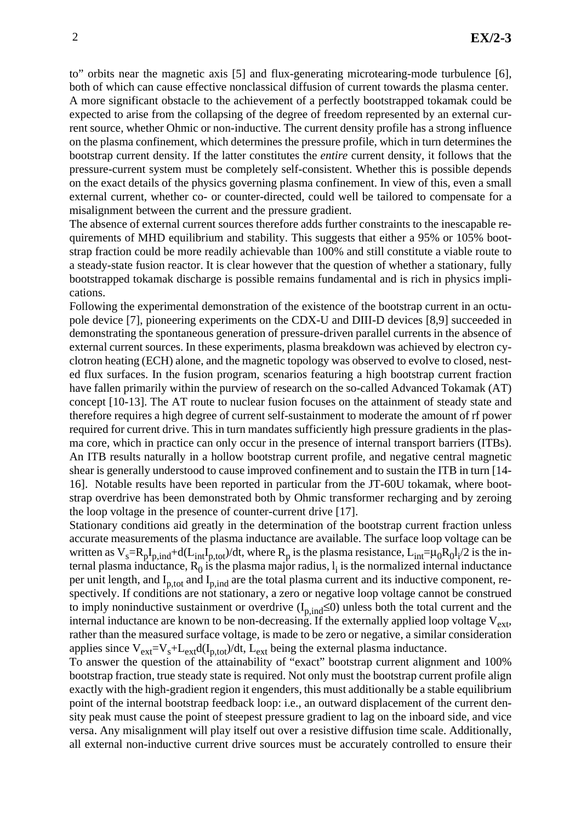to" orbits near the magnetic axis [5] and flux-generating microtearing-mode turbulence [6], both of which can cause effective nonclassical diffusion of current towards the plasma center.

A more significant obstacle to the achievement of a perfectly bootstrapped tokamak could be expected to arise from the collapsing of the degree of freedom represented by an external current source, whether Ohmic or non-inductive. The current density profile has a strong influence on the plasma confinement, which determines the pressure profile, which in turn determines the bootstrap current density. If the latter constitutes the *entire* current density, it follows that the pressure-current system must be completely self-consistent. Whether this is possible depends on the exact details of the physics governing plasma confinement. In view of this, even a small external current, whether co- or counter-directed, could well be tailored to compensate for a misalignment between the current and the pressure gradient.

The absence of external current sources therefore adds further constraints to the inescapable requirements of MHD equilibrium and stability. This suggests that either a 95% or 105% bootstrap fraction could be more readily achievable than 100% and still constitute a viable route to a steady-state fusion reactor. It is clear however that the question of whether a stationary, fully bootstrapped tokamak discharge is possible remains fundamental and is rich in physics implications.

Following the experimental demonstration of the existence of the bootstrap current in an octupole device [7], pioneering experiments on the CDX-U and DIII-D devices [8,9] succeeded in demonstrating the spontaneous generation of pressure-driven parallel currents in the absence of external current sources. In these experiments, plasma breakdown was achieved by electron cyclotron heating (ECH) alone, and the magnetic topology was observed to evolve to closed, nested flux surfaces. In the fusion program, scenarios featuring a high bootstrap current fraction have fallen primarily within the purview of research on the so-called Advanced Tokamak (AT) concept [10-13]. The AT route to nuclear fusion focuses on the attainment of steady state and therefore requires a high degree of current self-sustainment to moderate the amount of rf power required for current drive. This in turn mandates sufficiently high pressure gradients in the plasma core, which in practice can only occur in the presence of internal transport barriers (ITBs). An ITB results naturally in a hollow bootstrap current profile, and negative central magnetic shear is generally understood to cause improved confinement and to sustain the ITB in turn [14- 16]. Notable results have been reported in particular from the JT-60U tokamak, where bootstrap overdrive has been demonstrated both by Ohmic transformer recharging and by zeroing the loop voltage in the presence of counter-current drive [17].

Stationary conditions aid greatly in the determination of the bootstrap current fraction unless accurate measurements of the plasma inductance are available. The surface loop voltage can be written as  $V_s = R_p I_{p,ind} + d(L_{int}I_{p,tot})/dt$ , where  $R_p$  is the plasma resistance,  $L_{int} = \mu_0 R_0 I_i/2$  is the internal plasma inductance,  $R_0$  is the plasma major radius,  $l_i$  is the normalized internal inductance per unit length, and  $I_{p,tot}$  and  $I_{p,tod}$  are the total plasma current and its inductive component, respectively. If conditions are not stationary, a zero or negative loop voltage cannot be construed to imply noninductive sustainment or overdrive  $(I_{p,ind} \le 0)$  unless both the total current and the internal inductance are known to be non-decreasing. If the externally applied loop voltage  $V_{ext}$ , rather than the measured surface voltage, is made to be zero or negative, a similar consideration applies since  $V_{ext}=V_s+L_{ext}d(I_{p,tot})/dt$ ,  $L_{ext}$  being the external plasma inductance.

To answer the question of the attainability of "exact" bootstrap current alignment and 100% bootstrap fraction, true steady state is required. Not only must the bootstrap current profile align exactly with the high-gradient region it engenders, this must additionally be a stable equilibrium point of the internal bootstrap feedback loop: i.e., an outward displacement of the current density peak must cause the point of steepest pressure gradient to lag on the inboard side, and vice versa. Any misalignment will play itself out over a resistive diffusion time scale. Additionally, all external non-inductive current drive sources must be accurately controlled to ensure their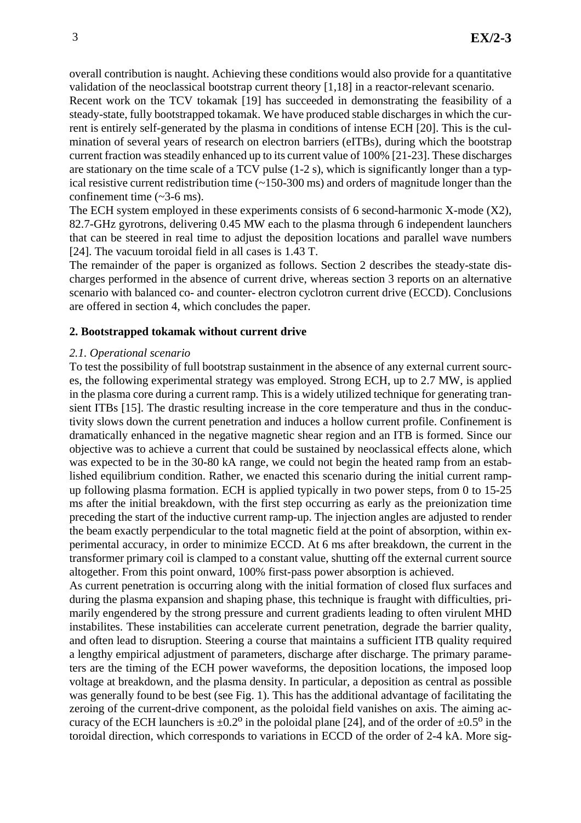overall contribution is naught. Achieving these conditions would also provide for a quantitative validation of the neoclassical bootstrap current theory [1,18] in a reactor-relevant scenario.

Recent work on the TCV tokamak [19] has succeeded in demonstrating the feasibility of a steady-state, fully bootstrapped tokamak. We have produced stable discharges in which the current is entirely self-generated by the plasma in conditions of intense ECH [20]. This is the culmination of several years of research on electron barriers (eITBs), during which the bootstrap current fraction was steadily enhanced up to its current value of 100% [21-23]. These discharges are stationary on the time scale of a TCV pulse (1-2 s), which is significantly longer than a typical resistive current redistribution time (~150-300 ms) and orders of magnitude longer than the confinement time  $({\sim}3{\text -}6 \text{ ms})$ .

The ECH system employed in these experiments consists of 6 second-harmonic X-mode (X2), 82.7-GHz gyrotrons, delivering 0.45 MW each to the plasma through 6 independent launchers that can be steered in real time to adjust the deposition locations and parallel wave numbers [24]. The vacuum toroidal field in all cases is 1.43 T.

The remainder of the paper is organized as follows. Section 2 describes the steady-state discharges performed in the absence of current drive, whereas section 3 reports on an alternative scenario with balanced co- and counter- electron cyclotron current drive (ECCD). Conclusions are offered in section 4, which concludes the paper.

#### **2. Bootstrapped tokamak without current drive**

#### *2.1. Operational scenario*

To test the possibility of full bootstrap sustainment in the absence of any external current sources, the following experimental strategy was employed. Strong ECH, up to 2.7 MW, is applied in the plasma core during a current ramp. This is a widely utilized technique for generating transient ITBs [15]. The drastic resulting increase in the core temperature and thus in the conductivity slows down the current penetration and induces a hollow current profile. Confinement is dramatically enhanced in the negative magnetic shear region and an ITB is formed. Since our objective was to achieve a current that could be sustained by neoclassical effects alone, which was expected to be in the 30-80 kA range, we could not begin the heated ramp from an established equilibrium condition. Rather, we enacted this scenario during the initial current rampup following plasma formation. ECH is applied typically in two power steps, from 0 to 15-25 ms after the initial breakdown, with the first step occurring as early as the preionization time preceding the start of the inductive current ramp-up. The injection angles are adjusted to render the beam exactly perpendicular to the total magnetic field at the point of absorption, within experimental accuracy, in order to minimize ECCD. At 6 ms after breakdown, the current in the transformer primary coil is clamped to a constant value, shutting off the external current source altogether. From this point onward, 100% first-pass power absorption is achieved.

As current penetration is occurring along with the initial formation of closed flux surfaces and during the plasma expansion and shaping phase, this technique is fraught with difficulties, primarily engendered by the strong pressure and current gradients leading to often virulent MHD instabilites. These instabilities can accelerate current penetration, degrade the barrier quality, and often lead to disruption. Steering a course that maintains a sufficient ITB quality required a lengthy empirical adjustment of parameters, discharge after discharge. The primary parameters are the timing of the ECH power waveforms, the deposition locations, the imposed loop voltage at breakdown, and the plasma density. In particular, a deposition as central as possible was generally found to be best (see Fig. 1). This has the additional advantage of facilitating the zeroing of the current-drive component, as the poloidal field vanishes on axis. The aiming accuracy of the ECH launchers is  $\pm 0.2^{\circ}$  in the poloidal plane [24], and of the order of  $\pm 0.5^{\circ}$  in the toroidal direction, which corresponds to variations in ECCD of the order of 2-4 kA. More sig-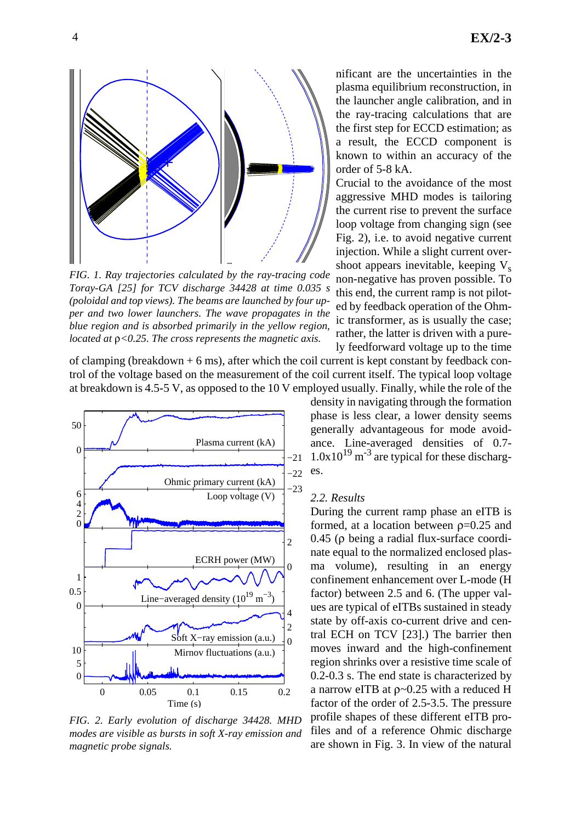

*FIG. 1. Ray trajectories calculated by the ray-tracing code Toray-GA [25] for TCV discharge 34428 at time 0.035 s (poloidal and top views). The beams are launched by four upper and two lower launchers. The wave propagates in the blue region and is absorbed primarily in the yellow region, located at* ρ*<0.25. The cross represents the magnetic axis.*

of clamping (breakdown  $+ 6$  ms), after which the coil current is kept constant by feedback control of the voltage based on the measurement of the coil current itself. The typical loop voltage at breakdown is 4.5-5 V, as opposed to the 10 V employed usually. Finally, while the role of the



*FIG. 2. Early evolution of discharge 34428. MHD modes are visible as bursts in soft X-ray emission and magnetic probe signals.*

nificant are the uncertainties in the plasma equilibrium reconstruction, in the launcher angle calibration, and in the ray-tracing calculations that are the first step for ECCD estimation; as a result, the ECCD component is known to within an accuracy of the order of 5-8 kA.

Crucial to the avoidance of the most aggressive MHD modes is tailoring the current rise to prevent the surface loop voltage from changing sign (see Fig. 2), i.e. to avoid negative current injection. While a slight current overshoot appears inevitable, keeping  $V<sub>s</sub>$ non-negative has proven possible. To this end, the current ramp is not piloted by feedback operation of the Ohmic transformer, as is usually the case; rather, the latter is driven with a purely feedforward voltage up to the time

density in navigating through the formation phase is less clear, a lower density seems generally advantageous for mode avoidance. Line-averaged densities of 0.7-  $1.0x10^{19}$  m<sup>-3</sup> are typical for these discharges.

#### *2.2. Results*

During the current ramp phase an eITB is formed, at a location between  $p=0.25$  and 0.45 (ρ being a radial flux-surface coordinate equal to the normalized enclosed plasma volume), resulting in an energy confinement enhancement over L-mode (H factor) between 2.5 and 6. (The upper values are typical of eITBs sustained in steady state by off-axis co-current drive and central ECH on TCV [23].) The barrier then moves inward and the high-confinement region shrinks over a resistive time scale of 0.2-0.3 s. The end state is characterized by a narrow eITB at ρ~0.25 with a reduced H factor of the order of 2.5-3.5. The pressure profile shapes of these different eITB profiles and of a reference Ohmic discharge are shown in Fig. 3. In view of the natural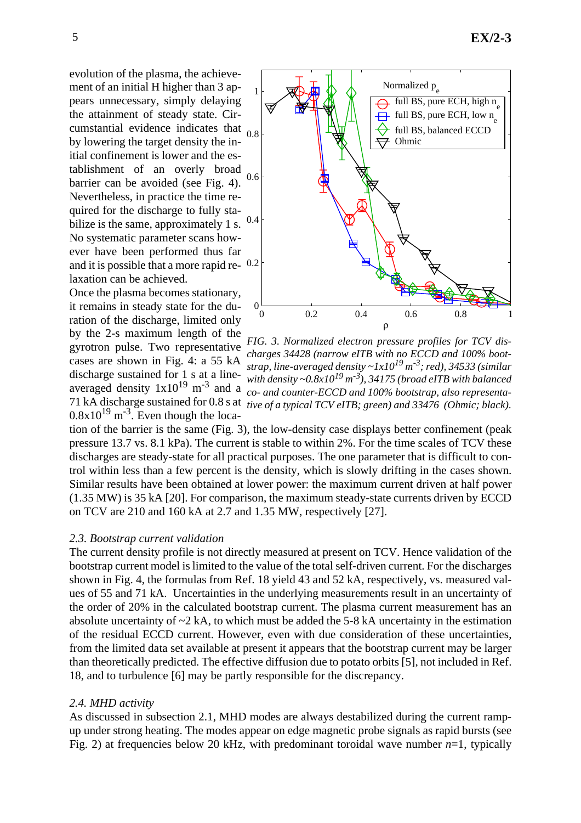and it is possible that a more rapid re-  $0.2$ cumstantial evidence indicates that <sub>0.8</sub> evolution of the plasma, the achievement of an initial H higher than 3 appears unnecessary, simply delaying the attainment of steady state. Cirby lowering the target density the initial confinement is lower and the establishment of an overly broad barrier can be avoided (see Fig. 4). Nevertheless, in practice the time required for the discharge to fully stabilize is the same, approximately 1 s. No systematic parameter scans however have been performed thus far laxation can be achieved.

Once the plasma becomes stationary, it remains in steady state for the duration of the discharge, limited only by the 2-s maximum length of the gyrotron pulse. Two representative cases are shown in Fig. 4: a 55 kA discharge sustained for 1 s at a line- $0.8x10^{19}$  m<sup>-3</sup>. Even though the loca-



averaged density 1x10<sup>19</sup> m<sup>-3</sup> and a co- and counter-ECCD and 100% bootstrap, also representa-71 kA discharge sustained for 0.8 s at *tive of a typical TCV eITB; green) and 33476 (Ohmic; black).FIG. 3. Normalized electron pressure profiles for TCV discharges 34428 (narrow eITB with no ECCD and 100% bootstrap, line-averaged density ~1x1019 m-3; red), 34533 (similar with density ~0.8x1019 m-3), 34175 (broad eITB with balanced*

tion of the barrier is the same (Fig. 3), the low-density case displays better confinement (peak pressure 13.7 vs. 8.1 kPa). The current is stable to within 2%. For the time scales of TCV these discharges are steady-state for all practical purposes. The one parameter that is difficult to control within less than a few percent is the density, which is slowly drifting in the cases shown. Similar results have been obtained at lower power: the maximum current driven at half power (1.35 MW) is 35 kA [20]. For comparison, the maximum steady-state currents driven by ECCD on TCV are 210 and 160 kA at 2.7 and 1.35 MW, respectively [27].

#### *2.3. Bootstrap current validation*

The current density profile is not directly measured at present on TCV. Hence validation of the bootstrap current model is limited to the value of the total self-driven current. For the discharges shown in Fig. 4, the formulas from Ref. 18 yield 43 and 52 kA, respectively, vs. measured values of 55 and 71 kA. Uncertainties in the underlying measurements result in an uncertainty of the order of 20% in the calculated bootstrap current. The plasma current measurement has an absolute uncertainty of  $\sim$  2 kA, to which must be added the 5-8 kA uncertainty in the estimation of the residual ECCD current. However, even with due consideration of these uncertainties, from the limited data set available at present it appears that the bootstrap current may be larger than theoretically predicted. The effective diffusion due to potato orbits [5], not included in Ref. 18, and to turbulence [6] may be partly responsible for the discrepancy.

#### *2.4. MHD activity*

As discussed in subsection 2.1, MHD modes are always destabilized during the current rampup under strong heating. The modes appear on edge magnetic probe signals as rapid bursts (see Fig. 2) at frequencies below 20 kHz, with predominant toroidal wave number  $n=1$ , typically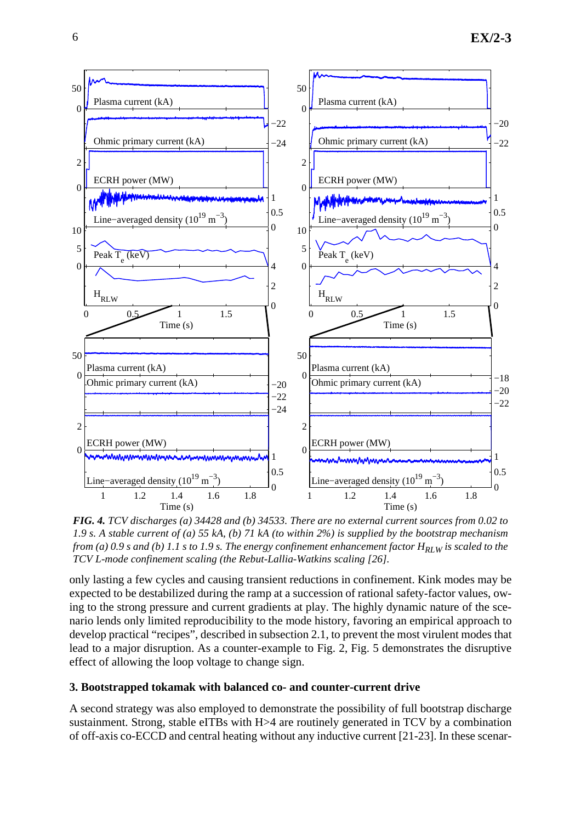

*FIG. 4. TCV discharges (a) 34428 and (b) 34533. There are no external current sources from 0.02 to 1.9 s. A stable current of (a) 55 kA, (b) 71 kA (to within 2%) is supplied by the bootstrap mechanism from (a) 0.9 s and (b) 1.1 s to 1.9 s. The energy confinement enhancement factor*  $H_{RLW}$  *is scaled to the TCV L-mode confinement scaling (the Rebut-Lallia-Watkins scaling [26].*

only lasting a few cycles and causing transient reductions in confinement. Kink modes may be expected to be destabilized during the ramp at a succession of rational safety-factor values, owing to the strong pressure and current gradients at play. The highly dynamic nature of the scenario lends only limited reproducibility to the mode history, favoring an empirical approach to develop practical "recipes", described in subsection 2.1, to prevent the most virulent modes that lead to a major disruption. As a counter-example to Fig. 2, Fig. 5 demonstrates the disruptive effect of allowing the loop voltage to change sign.

### **3. Bootstrapped tokamak with balanced co- and counter-current drive**

A second strategy was also employed to demonstrate the possibility of full bootstrap discharge sustainment. Strong, stable eITBs with H>4 are routinely generated in TCV by a combination of off-axis co-ECCD and central heating without any inductive current [21-23]. In these scenar-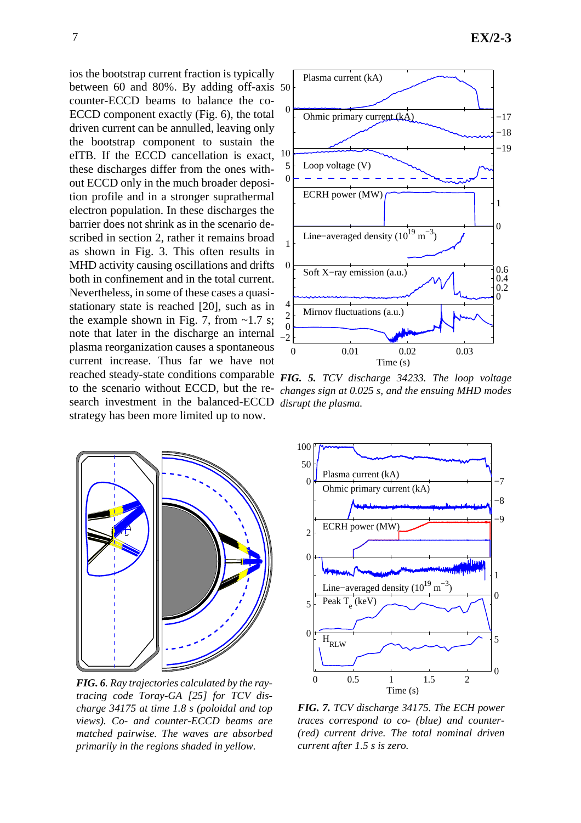between 60 and 80%. By adding off-axis 50 ios the bootstrap current fraction is typically counter-ECCD beams to balance the co-ECCD component exactly (Fig. 6), the total driven current can be annulled, leaving only the bootstrap component to sustain the eITB. If the ECCD cancellation is exact, these discharges differ from the ones without ECCD only in the much broader deposition profile and in a stronger suprathermal electron population. In these discharges the barrier does not shrink as in the scenario described in section 2, rather it remains broad as shown in Fig. 3. This often results in MHD activity causing oscillations and drifts both in confinement and in the total current. Nevertheless, in some of these cases a quasistationary state is reached [20], such as in the example shown in Fig. 7, from  $\sim$ 1.7 s; note that later in the discharge an internal plasma reorganization causes a spontaneous current increase. Thus far we have not reached steady-state conditions comparable *FIG. 5. TCV discharge 34233. The loop voltage* to the scenario without ECCD, but the research investment in the balanced-ECCD *disrupt the plasma.* strategy has been more limited up to now.



*changes sign at 0.025 s, and the ensuing MHD modes*



*FIG. 6. Ray trajectories calculated by the raytracing code Toray-GA [25] for TCV discharge 34175 at time 1.8 s (poloidal and top views). Co- and counter-ECCD beams are matched pairwise. The waves are absorbed primarily in the regions shaded in yellow.*



*FIG. 7. TCV discharge 34175. The ECH power traces correspond to co- (blue) and counter- (red) current drive. The total nominal driven current after 1.5 s is zero.*